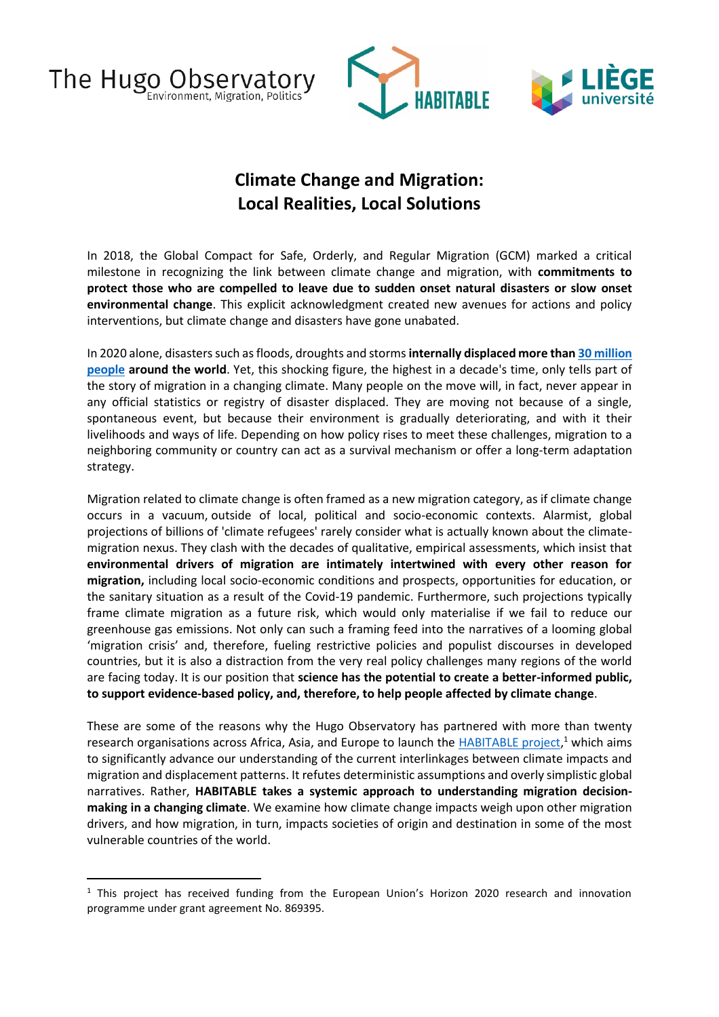The Hugo Observatory ronment, Migration, Politics





## **Climate Change and Migration: Local Realities, Local Solutions**

In 2018, the Global Compact for Safe, Orderly, and Regular Migration (GCM) marked a critical milestone in recognizing the link between climate change and migration, with **commitments to protect those who are compelled to leave due to sudden onset natural disasters or slow onset environmental change**. This explicit acknowledgment created new avenues for actions and policy interventions, but climate change and disasters have gone unabated.

In 2020 alone, disasters such as floods, droughts and storms **internally displaced more tha[n 30 million](https://www.internal-displacement.org/global-report/grid2021/)  [people](https://www.internal-displacement.org/global-report/grid2021/) around the world**. Yet, this shocking figure, the highest in a decade's time, only tells part of the story of migration in a changing climate. Many people on the move will, in fact, never appear in any official statistics or registry of disaster displaced. They are moving not because of a single, spontaneous event, but because their environment is gradually deteriorating, and with it their livelihoods and ways of life. Depending on how policy rises to meet these challenges, migration to a neighboring community or country can act as a survival mechanism or offer a long-term adaptation strategy.

Migration related to climate change is often framed as a new migration category, as if climate change occurs in a vacuum, outside of local, political and socio-economic contexts. Alarmist, global projections of billions of 'climate refugees' rarely consider what is actually known about the climatemigration nexus. They clash with the decades of qualitative, empirical assessments, which insist that **environmental drivers of migration are intimately intertwined with every other reason for migration,** including local socio-economic conditions and prospects, opportunities for education, or the sanitary situation as a result of the Covid-19 pandemic. Furthermore, such projections typically frame climate migration as a future risk, which would only materialise if we fail to reduce our greenhouse gas emissions. Not only can such a framing feed into the narratives of a looming global 'migration crisis' and, therefore, fueling restrictive policies and populist discourses in developed countries, but it is also a distraction from the very real policy challenges many regions of the world are facing today. It is our position that **science has the potential to create a better-informed public, to support evidence-based policy, and, therefore, to help people affected by climate change**.

These are some of the reasons why the Hugo Observatory has partnered with more than twenty research organisations across Africa, Asia, and Europe to launch the **HABITABLE** project,<sup>1</sup> which aims to significantly advance our understanding of the current interlinkages between climate impacts and migration and displacement patterns. It refutes deterministic assumptions and overly simplistic global narratives. Rather, **HABITABLE takes a systemic approach to understanding migration decisionmaking in a changing climate**. We examine how climate change impacts weigh upon other migration drivers, and how migration, in turn, impacts societies of origin and destination in some of the most vulnerable countries of the world.

<sup>&</sup>lt;sup>1</sup> This project has received funding from the European Union's Horizon 2020 research and innovation programme under grant agreement No. 869395.